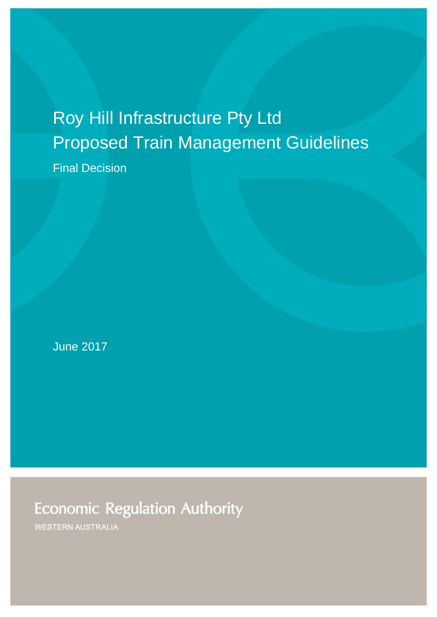# Roy Hill Infrastructure Pty Ltd Proposed Train Management Guidelines

Final Decision

June 2017

**Economic Regulation Authority** 

**WESTERN AUSTRALIA**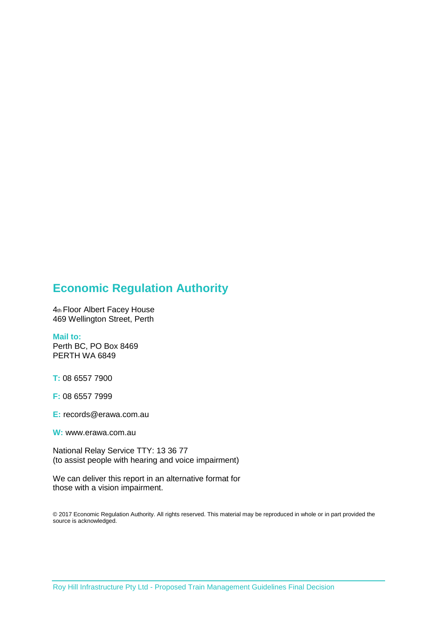### **Economic Regulation Authority**

4th Floor Albert Facey House 469 Wellington Street, Perth

#### **Mail to:**

Perth BC, PO Box 8469 PERTH WA 6849

**T:** 08 6557 7900

**F:** 08 6557 7999

**E:** records@erawa.com.au

**W:** www.erawa.com.au

National Relay Service TTY: 13 36 77 (to assist people with hearing and voice impairment)

We can deliver this report in an alternative format for those with a vision impairment.

© 2017 Economic Regulation Authority. All rights reserved. This material may be reproduced in whole or in part provided the source is acknowledged.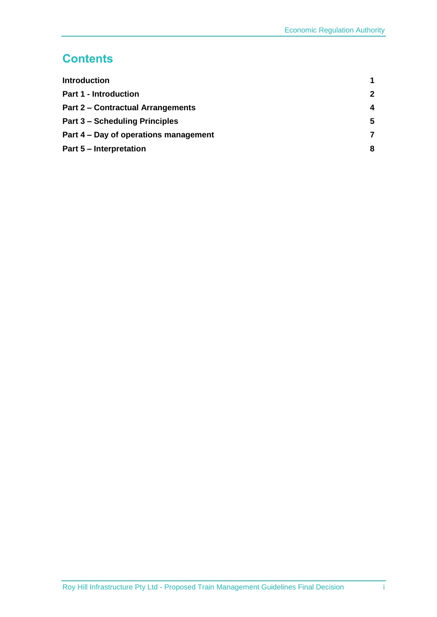## **Contents**

| <b>Introduction</b>                      |              |
|------------------------------------------|--------------|
| <b>Part 1 - Introduction</b>             | $\mathbf{2}$ |
| <b>Part 2 - Contractual Arrangements</b> | 4            |
| <b>Part 3 – Scheduling Principles</b>    | 5.           |
| Part 4 – Day of operations management    | 7            |
| <b>Part 5 - Interpretation</b>           | 8            |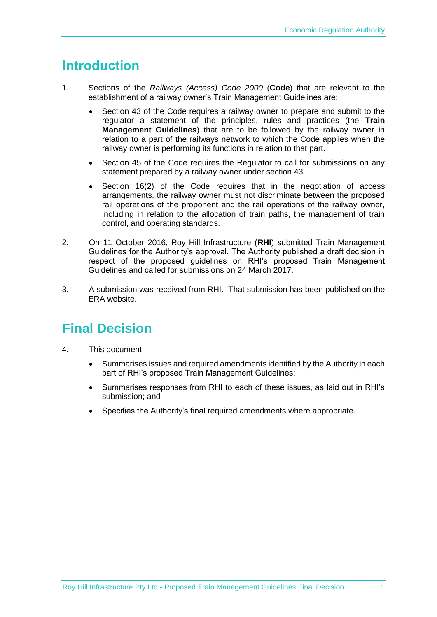# <span id="page-3-0"></span>**Introduction**

- 1. Sections of the *Railways (Access) Code 2000* (**Code**) that are relevant to the establishment of a railway owner's Train Management Guidelines are:
	- Section 43 of the Code requires a railway owner to prepare and submit to the regulator a statement of the principles, rules and practices (the **Train Management Guidelines**) that are to be followed by the railway owner in relation to a part of the railways network to which the Code applies when the railway owner is performing its functions in relation to that part.
	- Section 45 of the Code requires the Regulator to call for submissions on any statement prepared by a railway owner under section 43.
	- Section 16(2) of the Code requires that in the negotiation of access arrangements, the railway owner must not discriminate between the proposed rail operations of the proponent and the rail operations of the railway owner, including in relation to the allocation of train paths, the management of train control, and operating standards.
- 2. On 11 October 2016, Roy Hill Infrastructure (**RHI**) submitted Train Management Guidelines for the Authority's approval. The Authority published a draft decision in respect of the proposed guidelines on RHI's proposed Train Management Guidelines and called for submissions on 24 March 2017.
- 3. A submission was received from RHI. That submission has been published on the ERA website.

# **Final Decision**

- 4. This document:
	- Summarises issues and required amendments identified by the Authority in each part of RHI's proposed Train Management Guidelines;
	- Summarises responses from RHI to each of these issues, as laid out in RHI's submission; and
	- Specifies the Authority's final required amendments where appropriate.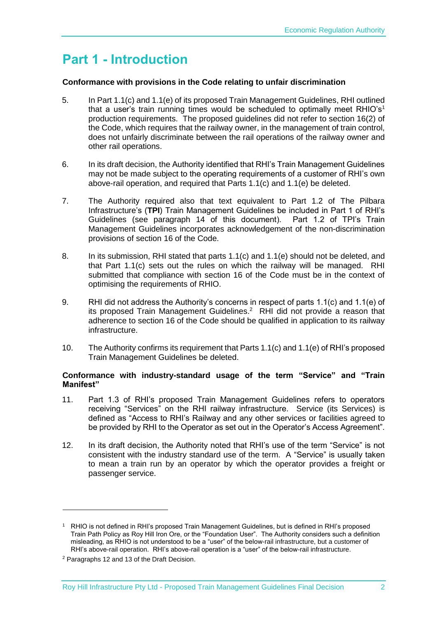# <span id="page-4-0"></span>**Part 1 - Introduction**

#### **Conformance with provisions in the Code relating to unfair discrimination**

- 5. In Part 1.1(c) and 1.1(e) of its proposed Train Management Guidelines, RHI outlined that a user's train running times would be scheduled to optimally meet  $RHIO's<sup>1</sup>$ production requirements. The proposed guidelines did not refer to section 16(2) of the Code, which requires that the railway owner, in the management of train control, does not unfairly discriminate between the rail operations of the railway owner and other rail operations.
- 6. In its draft decision, the Authority identified that RHI's Train Management Guidelines may not be made subject to the operating requirements of a customer of RHI's own above-rail operation, and required that Parts 1.1(c) and 1.1(e) be deleted.
- 7. The Authority required also that text equivalent to Part 1.2 of The Pilbara Infrastructure's (**TPI**) Train Management Guidelines be included in Part 1 of RHI's Guidelines (see paragraph [14](#page-5-0) of this document). Part 1.2 of TPI's Train Management Guidelines incorporates acknowledgement of the non-discrimination provisions of section 16 of the Code.
- 8. In its submission, RHI stated that parts 1.1(c) and 1.1(e) should not be deleted, and that Part 1.1(c) sets out the rules on which the railway will be managed. RHI submitted that compliance with section 16 of the Code must be in the context of optimising the requirements of RHIO.
- 9. RHI did not address the Authority's concerns in respect of parts 1.1(c) and 1.1(e) of its proposed Train Management Guidelines. $2$  RHI did not provide a reason that adherence to section 16 of the Code should be qualified in application to its railway infrastructure.
- 10. The Authority confirms its requirement that Parts 1.1(c) and 1.1(e) of RHI's proposed Train Management Guidelines be deleted.

#### **Conformance with industry-standard usage of the term "Service" and "Train Manifest"**

- 11. Part 1.3 of RHI's proposed Train Management Guidelines refers to operators receiving "Services" on the RHI railway infrastructure. Service (its Services) is defined as "Access to RHI's Railway and any other services or facilities agreed to be provided by RHI to the Operator as set out in the Operator's Access Agreement".
- 12. In its draft decision, the Authority noted that RHI's use of the term "Service" is not consistent with the industry standard use of the term. A "Service" is usually taken to mean a train run by an operator by which the operator provides a freight or passenger service.

-

<sup>1</sup> RHIO is not defined in RHI's proposed Train Management Guidelines, but is defined in RHI's proposed Train Path Policy as Roy Hill Iron Ore, or the "Foundation User". The Authority considers such a definition misleading, as RHIO is not understood to be a "user" of the below-rail infrastructure, but a customer of RHI's above-rail operation. RHI's above-rail operation is a "user" of the below-rail infrastructure.

<sup>2</sup> Paragraphs 12 and 13 of the Draft Decision.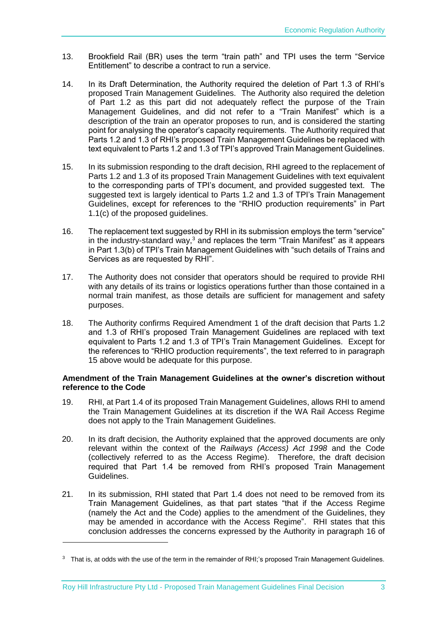- 13. Brookfield Rail (BR) uses the term "train path" and TPI uses the term "Service Entitlement" to describe a contract to run a service.
- <span id="page-5-0"></span>14. In its Draft Determination, the Authority required the deletion of Part 1.3 of RHI's proposed Train Management Guidelines. The Authority also required the deletion of Part 1.2 as this part did not adequately reflect the purpose of the Train Management Guidelines, and did not refer to a "Train Manifest" which is a description of the train an operator proposes to run, and is considered the starting point for analysing the operator's capacity requirements. The Authority required that Parts 1.2 and 1.3 of RHI's proposed Train Management Guidelines be replaced with text equivalent to Parts 1.2 and 1.3 of TPI's approved Train Management Guidelines.
- <span id="page-5-1"></span>15. In its submission responding to the draft decision, RHI agreed to the replacement of Parts 1.2 and 1.3 of its proposed Train Management Guidelines with text equivalent to the corresponding parts of TPI's document, and provided suggested text. The suggested text is largely identical to Parts 1.2 and 1.3 of TPI's Train Management Guidelines, except for references to the "RHIO production requirements" in Part 1.1(c) of the proposed guidelines.
- 16. The replacement text suggested by RHI in its submission employs the term "service" in the industry-standard way, <sup>3</sup> and replaces the term "Train Manifest" as it appears in Part 1.3(b) of TPI's Train Management Guidelines with "such details of Trains and Services as are requested by RHI".
- 17. The Authority does not consider that operators should be required to provide RHI with any details of its trains or logistics operations further than those contained in a normal train manifest, as those details are sufficient for management and safety purposes.
- 18. The Authority confirms Required Amendment 1 of the draft decision that Parts 1.2 and 1.3 of RHI's proposed Train Management Guidelines are replaced with text equivalent to Parts 1.2 and 1.3 of TPI's Train Management Guidelines. Except for the references to "RHIO production requirements", the text referred to in paragraph [15](#page-5-1) above would be adequate for this purpose.

#### **Amendment of the Train Management Guidelines at the owner's discretion without reference to the Code**

- 19. RHI, at Part 1.4 of its proposed Train Management Guidelines, allows RHI to amend the Train Management Guidelines at its discretion if the WA Rail Access Regime does not apply to the Train Management Guidelines.
- 20. In its draft decision, the Authority explained that the approved documents are only relevant within the context of the *Railways (Access) Act 1998* and the Code (collectively referred to as the Access Regime). Therefore, the draft decision required that Part 1.4 be removed from RHI's proposed Train Management Guidelines.
- 21. In its submission, RHI stated that Part 1.4 does not need to be removed from its Train Management Guidelines, as that part states "that if the Access Regime (namely the Act and the Code) applies to the amendment of the Guidelines, they may be amended in accordance with the Access Regime". RHI states that this conclusion addresses the concerns expressed by the Authority in paragraph 16 of

1

<sup>&</sup>lt;sup>3</sup> That is, at odds with the use of the term in the remainder of RHI;'s proposed Train Management Guidelines.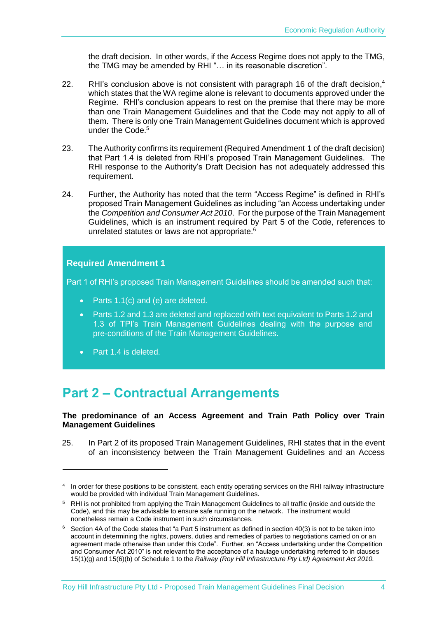the draft decision. In other words, if the Access Regime does not apply to the TMG, the TMG may be amended by RHI "… in its reasonable discretion".

- 22. RHI's conclusion above is not consistent with paragraph 16 of the draft decision,<sup>4</sup> which states that the WA regime alone is relevant to documents approved under the Regime. RHI's conclusion appears to rest on the premise that there may be more than one Train Management Guidelines and that the Code may not apply to all of them. There is only one Train Management Guidelines document which is approved under the Code. 5
- 23. The Authority confirms its requirement (Required Amendment 1 of the draft decision) that Part 1.4 is deleted from RHI's proposed Train Management Guidelines. The RHI response to the Authority's Draft Decision has not adequately addressed this requirement.
- <span id="page-6-1"></span>24. Further, the Authority has noted that the term "Access Regime" is defined in RHI's proposed Train Management Guidelines as including "an Access undertaking under the *Competition and Consumer Act 2010*. For the purpose of the Train Management Guidelines, which is an instrument required by Part 5 of the Code, references to unrelated statutes or laws are not appropriate. $6\overline{6}$

#### **Required Amendment 1**

Part 1 of RHI's proposed Train Management Guidelines should be amended such that:

- Parts 1.1(c) and (e) are deleted.
- Parts 1.2 and 1.3 are deleted and replaced with text equivalent to Parts 1.2 and 1.3 of TPI's Train Management Guidelines dealing with the purpose and pre-conditions of the Train Management Guidelines.
- Part 1.4 is deleted.

-

# <span id="page-6-0"></span>**Part 2 – Contractual Arrangements**

#### **The predominance of an Access Agreement and Train Path Policy over Train Management Guidelines**

25. In Part 2 of its proposed Train Management Guidelines, RHI states that in the event of an inconsistency between the Train Management Guidelines and an Access

<sup>&</sup>lt;sup>4</sup> In order for these positions to be consistent, each entity operating services on the RHI railway infrastructure would be provided with individual Train Management Guidelines.

<sup>5</sup> RHI is not prohibited from applying the Train Management Guidelines to all traffic (inside and outside the Code), and this may be advisable to ensure safe running on the network. The instrument would nonetheless remain a Code instrument in such circumstances.

 $6$  Section 4A of the Code states that "a Part 5 instrument as defined in section 40(3) is not to be taken into account in determining the rights, powers, duties and remedies of parties to negotiations carried on or an agreement made otherwise than under this Code". Further, an "Access undertaking under the Competition and Consumer Act 2010" is not relevant to the acceptance of a haulage undertaking referred to in clauses 15(1)(g) and 15(6)(b) of Schedule 1 to the *Railway (Roy Hill Infrastructure Pty Ltd) Agreement Act 2010.*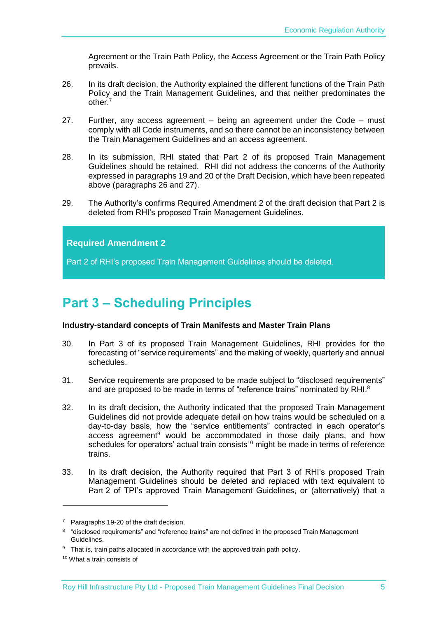Agreement or the Train Path Policy, the Access Agreement or the Train Path Policy prevails.

- <span id="page-7-1"></span>26. In its draft decision, the Authority explained the different functions of the Train Path Policy and the Train Management Guidelines, and that neither predominates the other.<sup>7</sup>
- <span id="page-7-2"></span>27. Further, any access agreement – being an agreement under the Code – must comply with all Code instruments, and so there cannot be an inconsistency between the Train Management Guidelines and an access agreement.
- 28. In its submission, RHI stated that Part 2 of its proposed Train Management Guidelines should be retained. RHI did not address the concerns of the Authority expressed in paragraphs 19 and 20 of the Draft Decision, which have been repeated above (paragraphs [26](#page-7-1) and [27\)](#page-7-2).
- 29. The Authority's confirms Required Amendment 2 of the draft decision that Part 2 is deleted from RHI's proposed Train Management Guidelines.

#### **Required Amendment 2**

Part 2 of RHI's proposed Train Management Guidelines should be deleted.

# <span id="page-7-0"></span>**Part 3 – Scheduling Principles**

#### **Industry-standard concepts of Train Manifests and Master Train Plans**

- 30. In Part 3 of its proposed Train Management Guidelines, RHI provides for the forecasting of "service requirements" and the making of weekly, quarterly and annual schedules.
- 31. Service requirements are proposed to be made subject to "disclosed requirements" and are proposed to be made in terms of "reference trains" nominated by RHI.<sup>8</sup>
- 32. In its draft decision, the Authority indicated that the proposed Train Management Guidelines did not provide adequate detail on how trains would be scheduled on a day-to-day basis, how the "service entitlements" contracted in each operator's access agreement<sup>9</sup> would be accommodated in those daily plans, and how schedules for operators' actual train consists<sup>10</sup> might be made in terms of reference trains.
- 33. In its draft decision, the Authority required that Part 3 of RHI's proposed Train Management Guidelines should be deleted and replaced with text equivalent to Part 2 of TPI's approved Train Management Guidelines, or (alternatively) that a

-

<sup>&</sup>lt;sup>7</sup> Paragraphs 19-20 of the draft decision.

<sup>&</sup>lt;sup>8</sup> "disclosed requirements" and "reference trains" are not defined in the proposed Train Management Guidelines.

<sup>&</sup>lt;sup>9</sup> That is, train paths allocated in accordance with the approved train path policy.

<sup>10</sup> What a train consists of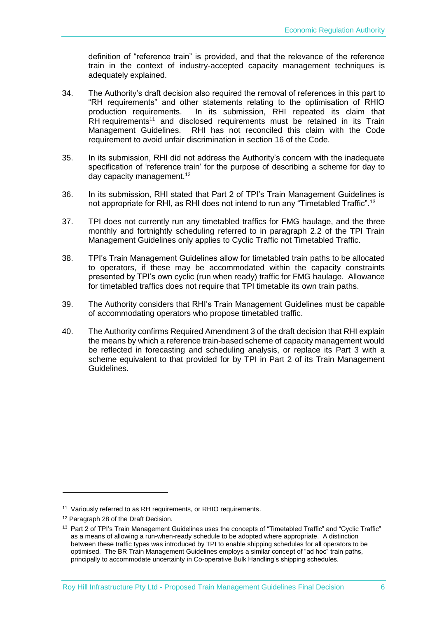definition of "reference train" is provided, and that the relevance of the reference train in the context of industry-accepted capacity management techniques is adequately explained.

- 34. The Authority's draft decision also required the removal of references in this part to "RH requirements" and other statements relating to the optimisation of RHIO production requirements. In its submission, RHI repeated its claim that RH requirements<sup>11</sup> and disclosed requirements must be retained in its Train Management Guidelines. RHI has not reconciled this claim with the Code requirement to avoid unfair discrimination in section 16 of the Code.
- 35. In its submission, RHI did not address the Authority's concern with the inadequate specification of 'reference train' for the purpose of describing a scheme for day to day capacity management.<sup>12</sup>
- 36. In its submission, RHI stated that Part 2 of TPI's Train Management Guidelines is not appropriate for RHI, as RHI does not intend to run any "Timetabled Traffic".<sup>13</sup>
- 37. TPI does not currently run any timetabled traffics for FMG haulage, and the three monthly and fortnightly scheduling referred to in paragraph 2.2 of the TPI Train Management Guidelines only applies to Cyclic Traffic not Timetabled Traffic.
- 38. TPI's Train Management Guidelines allow for timetabled train paths to be allocated to operators, if these may be accommodated within the capacity constraints presented by TPI's own cyclic (run when ready) traffic for FMG haulage. Allowance for timetabled traffics does not require that TPI timetable its own train paths.
- 39. The Authority considers that RHI's Train Management Guidelines must be capable of accommodating operators who propose timetabled traffic.
- 40. The Authority confirms Required Amendment 3 of the draft decision that RHI explain the means by which a reference train-based scheme of capacity management would be reflected in forecasting and scheduling analysis, or replace its Part 3 with a scheme equivalent to that provided for by TPI in Part 2 of its Train Management Guidelines.

1

<sup>&</sup>lt;sup>11</sup> Variously referred to as RH requirements, or RHIO requirements.

<sup>&</sup>lt;sup>12</sup> Paragraph 28 of the Draft Decision.

<sup>&</sup>lt;sup>13</sup> Part 2 of TPI's Train Management Guidelines uses the concepts of "Timetabled Traffic" and "Cyclic Traffic" as a means of allowing a run-when-ready schedule to be adopted where appropriate. A distinction between these traffic types was introduced by TPI to enable shipping schedules for all operators to be optimised. The BR Train Management Guidelines employs a similar concept of "ad hoc" train paths, principally to accommodate uncertainty in Co-operative Bulk Handling's shipping schedules.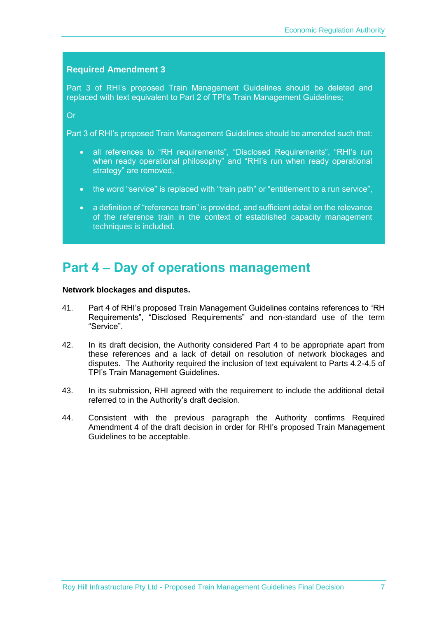#### **Required Amendment 3**

Part 3 of RHI's proposed Train Management Guidelines should be deleted and replaced with text equivalent to Part 2 of TPI's Train Management Guidelines;

Or

Part 3 of RHI's proposed Train Management Guidelines should be amended such that:

- all references to "RH requirements", "Disclosed Requirements", "RHI's run when ready operational philosophy" and "RHI's run when ready operational strategy" are removed,
- the word "service" is replaced with "train path" or "entitlement to a run service",
- a definition of "reference train" is provided, and sufficient detail on the relevance of the reference train in the context of established capacity management techniques is included.

### <span id="page-9-0"></span>**Part 4 – Day of operations management**

#### **Network blockages and disputes.**

- 41. Part 4 of RHI's proposed Train Management Guidelines contains references to "RH Requirements", "Disclosed Requirements" and non-standard use of the term "Service".
- 42. In its draft decision, the Authority considered Part 4 to be appropriate apart from these references and a lack of detail on resolution of network blockages and disputes. The Authority required the inclusion of text equivalent to Parts 4.2-4.5 of TPI's Train Management Guidelines.
- 43. In its submission, RHI agreed with the requirement to include the additional detail referred to in the Authority's draft decision.
- 44. Consistent with the previous paragraph the Authority confirms Required Amendment 4 of the draft decision in order for RHI's proposed Train Management Guidelines to be acceptable.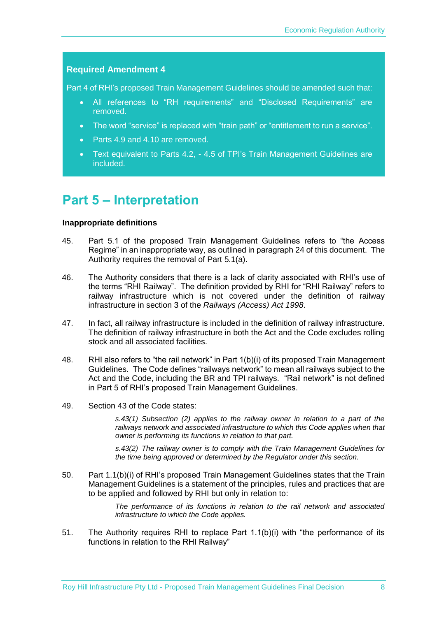#### **Required Amendment 4**

Part 4 of RHI's proposed Train Management Guidelines should be amended such that:

- All references to "RH requirements" and "Disclosed Requirements" are removed.
- The word "service" is replaced with "train path" or "entitlement to run a service".
- Parts 4.9 and 4.10 are removed.
- Text equivalent to Parts 4.2, 4.5 of TPI's Train Management Guidelines are included.

### <span id="page-10-0"></span>**Part 5 – Interpretation**

#### **Inappropriate definitions**

- 45. Part 5.1 of the proposed Train Management Guidelines refers to "the Access Regime" in an inappropriate way, as outlined in paragraph [24](#page-6-1) of this document. The Authority requires the removal of Part 5.1(a).
- 46. The Authority considers that there is a lack of clarity associated with RHI's use of the terms "RHI Railway". The definition provided by RHI for "RHI Railway" refers to railway infrastructure which is not covered under the definition of railway infrastructure in section 3 of the *Railways (Access) Act 1998*.
- 47. In fact, all railway infrastructure is included in the definition of railway infrastructure. The definition of railway infrastructure in both the Act and the Code excludes rolling stock and all associated facilities.
- 48. RHI also refers to "the rail network" in Part 1(b)(i) of its proposed Train Management Guidelines. The Code defines "railways network" to mean all railways subject to the Act and the Code, including the BR and TPI railways. "Rail network" is not defined in Part 5 of RHI's proposed Train Management Guidelines.
- 49. Section 43 of the Code states:

*s.43(1) Subsection (2) applies to the railway owner in relation to a part of the railways network and associated infrastructure to which this Code applies when that owner is performing its functions in relation to that part.*

*s.43(2) The railway owner is to comply with the Train Management Guidelines for the time being approved or determined by the Regulator under this section.*

50. Part 1.1(b)(i) of RHI's proposed Train Management Guidelines states that the Train Management Guidelines is a statement of the principles, rules and practices that are to be applied and followed by RHI but only in relation to:

> *The performance of its functions in relation to the rail network and associated infrastructure to which the Code applies.*

51. The Authority requires RHI to replace Part 1.1(b)(i) with "the performance of its functions in relation to the RHI Railway"